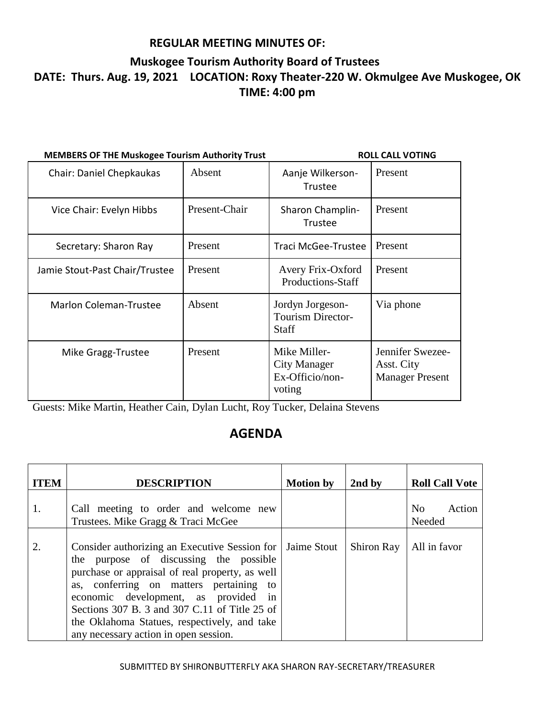### **Muskogee Tourism Authority Board of Trustees DATE: Thurs. Aug. 19, 2021 LOCATION: Roxy Theater-220 W. Okmulgee Ave Muskogee, OK TIME: 4:00 pm**

| <b>MEMBERS OF THE Muskogee Tourism Authority Trust</b> | <b>ROLL CALL VOTING</b> |                                                                  |                                                          |
|--------------------------------------------------------|-------------------------|------------------------------------------------------------------|----------------------------------------------------------|
| Chair: Daniel Chepkaukas                               | Absent                  | Aanje Wilkerson-<br><b>Trustee</b>                               | Present                                                  |
| Vice Chair: Evelyn Hibbs                               | Present-Chair           | Sharon Champlin-<br><b>Trustee</b>                               | Present                                                  |
| Secretary: Sharon Ray                                  | Present                 | Traci McGee-Trustee                                              | Present                                                  |
| Jamie Stout-Past Chair/Trustee                         | Present                 | Avery Frix-Oxford<br>Productions-Staff                           | Present                                                  |
| <b>Marlon Coleman-Trustee</b>                          | Absent                  | Jordyn Jorgeson-<br><b>Tourism Director-</b><br><b>Staff</b>     | Via phone                                                |
| Mike Gragg-Trustee                                     | Present                 | Mike Miller-<br><b>City Manager</b><br>Ex-Officio/non-<br>voting | Jennifer Swezee-<br>Asst. City<br><b>Manager Present</b> |

Guests: Mike Martin, Heather Cain, Dylan Lucht, Roy Tucker, Delaina Stevens

## **AGENDA**

| <b>ITEM</b> | <b>DESCRIPTION</b>                                                                                                                                                                                                                                                                                                                                                      | <b>Motion by</b> | 2nd by            | <b>Roll Call Vote</b>              |
|-------------|-------------------------------------------------------------------------------------------------------------------------------------------------------------------------------------------------------------------------------------------------------------------------------------------------------------------------------------------------------------------------|------------------|-------------------|------------------------------------|
| 1.          | Call meeting to order and welcome new<br>Trustees. Mike Gragg & Traci McGee                                                                                                                                                                                                                                                                                             |                  |                   | Action<br>N <sub>0</sub><br>Needed |
| 2.          | Consider authorizing an Executive Session for<br>the purpose of discussing the possible<br>purchase or appraisal of real property, as well<br>as, conferring on matters pertaining to<br>economic development, as provided in<br>Sections 307 B. 3 and 307 C.11 of Title 25 of<br>the Oklahoma Statues, respectively, and take<br>any necessary action in open session. | Jaime Stout      | <b>Shiron Ray</b> | All in favor                       |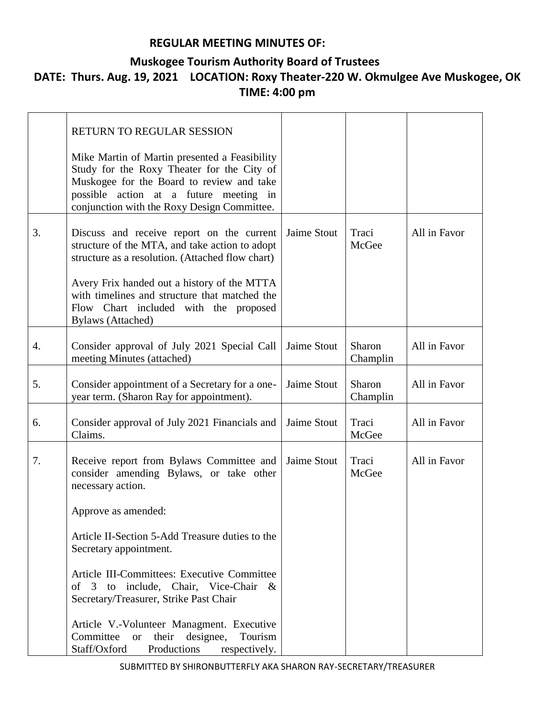#### **Muskogee Tourism Authority Board of Trustees**

# **DATE: Thurs. Aug. 19, 2021 LOCATION: Roxy Theater-220 W. Okmulgee Ave Muskogee, OK TIME: 4:00 pm**

|                  | RETURN TO REGULAR SESSION                                                                                                                                                                                                         |             |                    |              |
|------------------|-----------------------------------------------------------------------------------------------------------------------------------------------------------------------------------------------------------------------------------|-------------|--------------------|--------------|
|                  | Mike Martin of Martin presented a Feasibility<br>Study for the Roxy Theater for the City of<br>Muskogee for the Board to review and take<br>possible action at a future meeting in<br>conjunction with the Roxy Design Committee. |             |                    |              |
| 3.               | Discuss and receive report on the current<br>structure of the MTA, and take action to adopt<br>structure as a resolution. (Attached flow chart)                                                                                   | Jaime Stout | Traci<br>McGee     | All in Favor |
|                  | Avery Frix handed out a history of the MTTA<br>with timelines and structure that matched the<br>Flow Chart included with the proposed<br><b>Bylaws</b> (Attached)                                                                 |             |                    |              |
| $\overline{4}$ . | Consider approval of July 2021 Special Call<br>meeting Minutes (attached)                                                                                                                                                         | Jaime Stout | Sharon<br>Champlin | All in Favor |
| 5.               | Consider appointment of a Secretary for a one-<br>year term. (Sharon Ray for appointment).                                                                                                                                        | Jaime Stout | Sharon<br>Champlin | All in Favor |
| 6.               | Consider approval of July 2021 Financials and<br>Claims.                                                                                                                                                                          | Jaime Stout | Traci<br>McGee     | All in Favor |
| 7.               | Receive report from Bylaws Committee and<br>consider amending Bylaws, or take other<br>necessary action.                                                                                                                          | Jaime Stout | Traci<br>McGee     | All in Favor |
|                  | Approve as amended:                                                                                                                                                                                                               |             |                    |              |
|                  | Article II-Section 5-Add Treasure duties to the<br>Secretary appointment.                                                                                                                                                         |             |                    |              |
|                  | Article III-Committees: Executive Committee<br>of $3$<br>to include, Chair, Vice-Chair<br>$\&$<br>Secretary/Treasurer, Strike Past Chair                                                                                          |             |                    |              |
|                  | Article V.-Volunteer Managment. Executive<br>their designee,<br>Committee<br>Tourism<br><b>or</b><br>Staff/Oxford<br>Productions<br>respectively.                                                                                 |             |                    |              |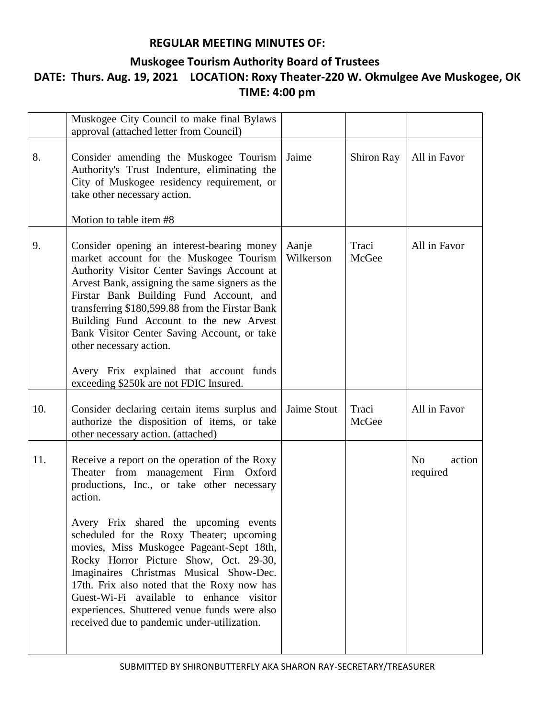#### **Muskogee Tourism Authority Board of Trustees**

# **DATE: Thurs. Aug. 19, 2021 LOCATION: Roxy Theater-220 W. Okmulgee Ave Muskogee, OK TIME: 4:00 pm**

|     | Muskogee City Council to make final Bylaws<br>approval (attached letter from Council)                                                                                                                                                                                                                                                                                                                                                                                                                                                                         |                    |                |                                      |
|-----|---------------------------------------------------------------------------------------------------------------------------------------------------------------------------------------------------------------------------------------------------------------------------------------------------------------------------------------------------------------------------------------------------------------------------------------------------------------------------------------------------------------------------------------------------------------|--------------------|----------------|--------------------------------------|
| 8.  | Consider amending the Muskogee Tourism<br>Authority's Trust Indenture, eliminating the<br>City of Muskogee residency requirement, or<br>take other necessary action.                                                                                                                                                                                                                                                                                                                                                                                          | Jaime              | Shiron Ray     | All in Favor                         |
|     | Motion to table item #8                                                                                                                                                                                                                                                                                                                                                                                                                                                                                                                                       |                    |                |                                      |
| 9.  | Consider opening an interest-bearing money<br>market account for the Muskogee Tourism<br>Authority Visitor Center Savings Account at<br>Arvest Bank, assigning the same signers as the<br>Firstar Bank Building Fund Account, and<br>transferring \$180,599.88 from the Firstar Bank<br>Building Fund Account to the new Arvest<br>Bank Visitor Center Saving Account, or take<br>other necessary action.                                                                                                                                                     | Aanje<br>Wilkerson | Traci<br>McGee | All in Favor                         |
|     | Avery Frix explained that account funds<br>exceeding \$250k are not FDIC Insured.                                                                                                                                                                                                                                                                                                                                                                                                                                                                             |                    |                |                                      |
| 10. | Consider declaring certain items surplus and<br>authorize the disposition of items, or take<br>other necessary action. (attached)                                                                                                                                                                                                                                                                                                                                                                                                                             | Jaime Stout        | Traci<br>McGee | All in Favor                         |
| 11. | Receive a report on the operation of the Roxy<br>Theater from management Firm Oxford<br>productions, Inc., or take other necessary<br>action.<br>Avery Frix shared the upcoming events<br>scheduled for the Roxy Theater; upcoming<br>movies, Miss Muskogee Pageant-Sept 18th,<br>Rocky Horror Picture Show, Oct. 29-30,<br>Imaginaires Christmas Musical Show-Dec.<br>17th. Frix also noted that the Roxy now has<br>Guest-Wi-Fi available to enhance visitor<br>experiences. Shuttered venue funds were also<br>received due to pandemic under-utilization. |                    |                | action<br>N <sub>o</sub><br>required |